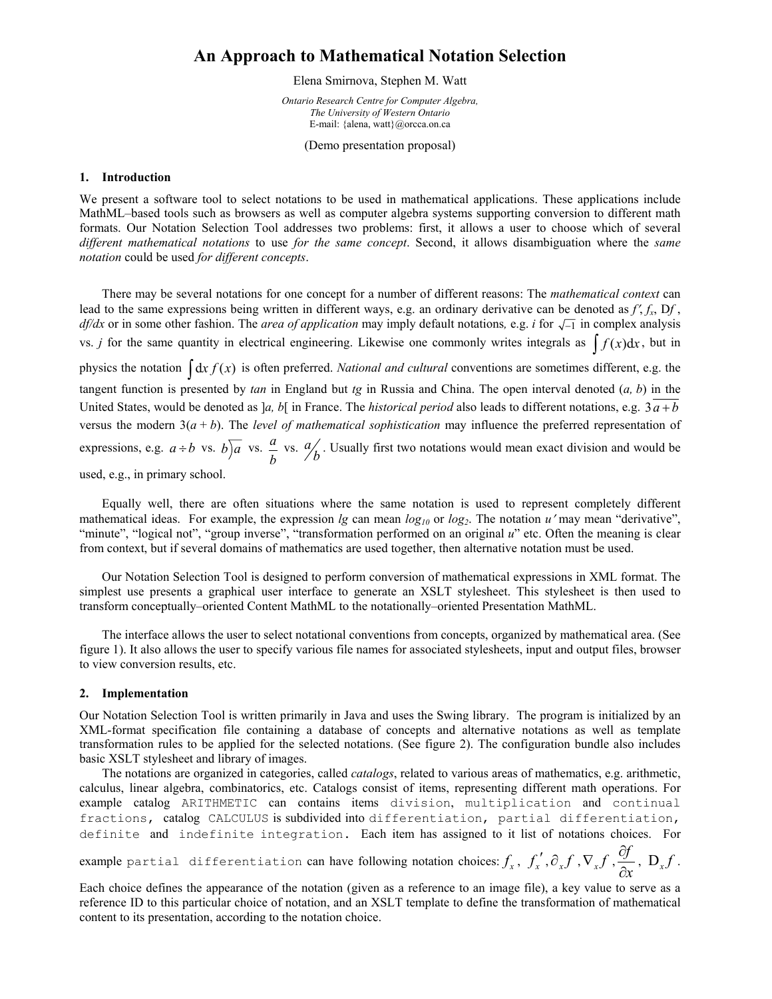# **An Approach to Mathematical Notation Selection**

Elena Smirnova, Stephen M. Watt

*Ontario Research Centre for Computer Algebra, The University of Western Ontario*  E-mail: {alena, watt}@orcca.on.ca

(Demo presentation proposal)

#### **1. Introduction**

We present a software tool to select notations to be used in mathematical applications. These applications include MathML–based tools such as browsers as well as computer algebra systems supporting conversion to different math formats. Our Notation Selection Tool addresses two problems: first, it allows a user to choose which of several *different mathematical notations* to use *for the same concept*. Second, it allows disambiguation where the *same notation* could be used *for different concepts*.

There may be several notations for one concept for a number of different reasons: The *mathematical context* can lead to the same expressions being written in different ways, e.g. an ordinary derivative can be denoted as  $f'$ ,  $f_x$ ,  $Df$ , *df/dx* or in some other fashion. The *area of application* may imply default notations, e.g. *i* for  $\sqrt{-1}$  in complex analysis vs. *j* for the same quantity in electrical engineering. Likewise one commonly writes integrals as  $\int f(x) dx$ , but in physics the notation  $\int dx f(x)$  is often preferred. *National and cultural* conventions are sometimes different, e.g. the tangent function is presented by *tan* in England but *tg* in Russia and China. The open interval denoted (*a, b*) in the United States, would be denoted as  $a, b$ [ in France. The *historical period* also leads to different notations, e.g.  $3a + b$ versus the modern  $3(a + b)$ . The *level of mathematical sophistication* may influence the preferred representation of expressions, e.g.  $a \div b$  vs.  $b \overline{)a}$  vs.  $\frac{a}{b}$ *b* vs.  $\frac{a}{b}$ . Usually first two notations would mean exact division and would be used, e.g., in primary school.

Equally well, there are often situations where the same notation is used to represent completely different mathematical ideas. For example, the expression *lg* can mean  $log_{10}$  or  $log_2$ . The notation *u'* may mean "derivative", "minute", "logical not", "group inverse", "transformation performed on an original *u*" etc. Often the meaning is clear from context, but if several domains of mathematics are used together, then alternative notation must be used.

Our Notation Selection Tool is designed to perform conversion of mathematical expressions in XML format. The simplest use presents a graphical user interface to generate an XSLT stylesheet. This stylesheet is then used to transform conceptually–oriented Content MathML to the notationally–oriented Presentation MathML.

The interface allows the user to select notational conventions from concepts, organized by mathematical area. (See figure 1). It also allows the user to specify various file names for associated stylesheets, input and output files, browser to view conversion results, etc.

### **2. Implementation**

Our Notation Selection Tool is written primarily in Java and uses the Swing library. The program is initialized by an XML-format specification file containing a database of concepts and alternative notations as well as template transformation rules to be applied for the selected notations. (See figure 2). The configuration bundle also includes basic XSLT stylesheet and library of images.

The notations are organized in categories, called *catalogs*, related to various areas of mathematics, e.g. arithmetic, calculus, linear algebra, combinatorics, etc. Catalogs consist of items, representing different math operations. For example catalog ARITHMETIC can contains items division, multiplication and continual fractions, catalog CALCULUS is subdivided into differentiation, partial differentiation, definite and indefinite integration. Each item has assigned to it list of notations choices. For

example partial differentiation can have following notation choices:  $f_x$ ,  $f'_x$ ,  $\partial_x f$ ,  $\nabla_x f$ ,  $\frac{\partial f}{\partial x}$  $\frac{\partial f}{\partial x}$ , D<sub>x</sub>f.

Each choice defines the appearance of the notation (given as a reference to an image file), a key value to serve as a reference ID to this particular choice of notation, and an XSLT template to define the transformation of mathematical content to its presentation, according to the notation choice.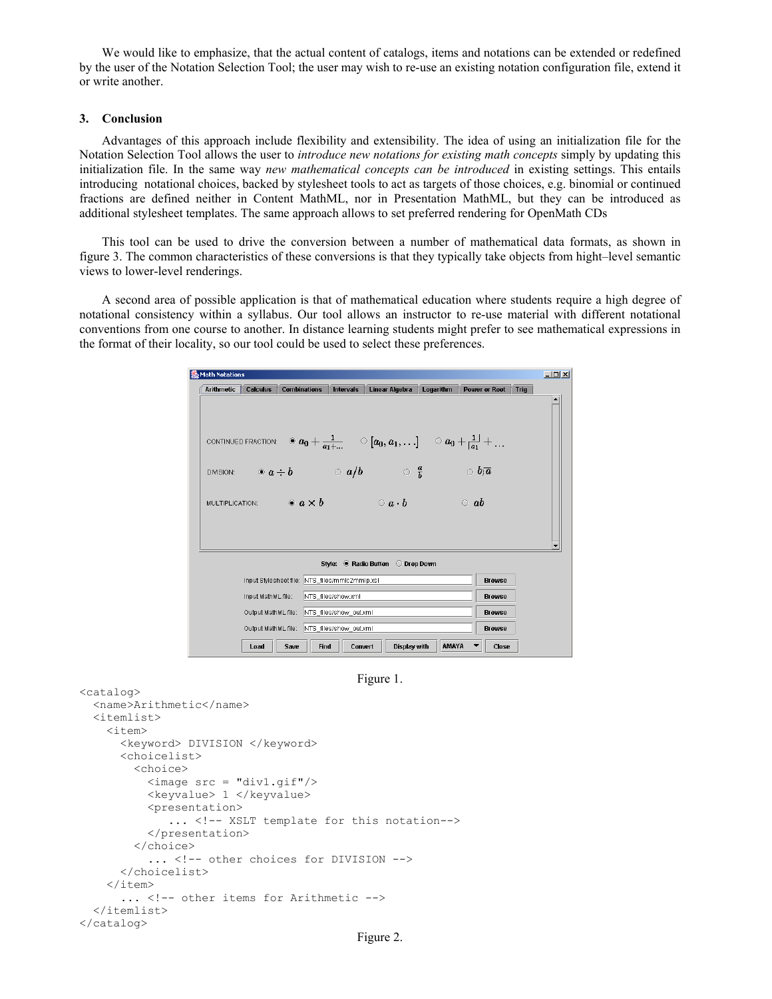We would like to emphasize, that the actual content of catalogs, items and notations can be extended or redefined by the user of the Notation Selection Tool; the user may wish to re-use an existing notation configuration file, extend it or write another.

### **3. Conclusion**

Advantages of this approach include flexibility and extensibility. The idea of using an initialization file for the Notation Selection Tool allows the user to *introduce new notations for existing math concepts* simply by updating this initialization file. In the same way *new mathematical concepts can be introduced* in existing settings. This entails introducing notational choices, backed by stylesheet tools to act as targets of those choices, e.g. binomial or continued fractions are defined neither in Content MathML, nor in Presentation MathML, but they can be introduced as additional stylesheet templates. The same approach allows to set preferred rendering for OpenMath CDs

This tool can be used to drive the conversion between a number of mathematical data formats, as shown in figure 3. The common characteristics of these conversions is that they typically take objects from hight–level semantic views to lower-level renderings.

A second area of possible application is that of mathematical education where students require a high degree of notational consistency within a syllabus. Our tool allows an instructor to re-use material with different notational conventions from one course to another. In distance learning students might prefer to see mathematical expressions in the format of their locality, so our tool could be used to select these preferences.

| Math Notations                       |                                                                           |                                            |                     |                                                                                                                                                              |         |                                                   |           |                    |                              | $-121 \times$ |
|--------------------------------------|---------------------------------------------------------------------------|--------------------------------------------|---------------------|--------------------------------------------------------------------------------------------------------------------------------------------------------------|---------|---------------------------------------------------|-----------|--------------------|------------------------------|---------------|
|                                      | <b>Arithmetic</b>                                                         | Calculus                                   | <b>Combinations</b> | <b>Intervals</b>                                                                                                                                             |         | <b>Linear Algebra</b>                             | Logarithm |                    | <b>Power or Root</b><br>Trig |               |
|                                      |                                                                           |                                            |                     |                                                                                                                                                              |         |                                                   |           |                    |                              |               |
|                                      |                                                                           |                                            |                     |                                                                                                                                                              |         |                                                   |           |                    |                              |               |
|                                      |                                                                           |                                            |                     |                                                                                                                                                              |         |                                                   |           |                    |                              |               |
|                                      |                                                                           |                                            |                     | CONTINUED FRACTION: $\quad \, \circledast \, a_0 + \frac{1}{a_1 + } \qquad \, \circ \, [a_0, a_1, \ldots] \qquad \, \circ \, a_0 + \frac{1}{ a_1 } + \ldots$ |         |                                                   |           |                    |                              |               |
|                                      |                                                                           |                                            |                     |                                                                                                                                                              |         |                                                   |           |                    |                              |               |
|                                      |                                                                           |                                            |                     | DIVISION: $\odot a \div b$ $\odot a/b$                                                                                                                       |         | $\overline{\phantom{a}}$ $\overline{\phantom{a}}$ |           | $\circ$ $b\bar{a}$ |                              |               |
|                                      |                                                                           |                                            |                     |                                                                                                                                                              |         |                                                   |           |                    |                              |               |
|                                      | MULTIPLICATION: $\bullet$ $a \times b$<br>$\circ a \cdot b$<br>$\circ$ ab |                                            |                     |                                                                                                                                                              |         |                                                   |           |                    |                              |               |
|                                      |                                                                           |                                            |                     |                                                                                                                                                              |         |                                                   |           |                    |                              |               |
|                                      |                                                                           |                                            |                     |                                                                                                                                                              |         |                                                   |           |                    |                              |               |
|                                      |                                                                           |                                            |                     |                                                                                                                                                              |         |                                                   |           |                    |                              |               |
| Style: C Radio Button<br>O Drop Down |                                                                           |                                            |                     |                                                                                                                                                              |         |                                                   |           |                    |                              |               |
|                                      | Input Stylesheet file: NTS_files/mmlc2mmlp.xsl                            |                                            |                     |                                                                                                                                                              |         |                                                   |           |                    | <b>Browse</b>                |               |
|                                      |                                                                           | Input MathML file:                         |                     | NTS_files/show.xml                                                                                                                                           |         |                                                   |           |                    | <b>Browse</b>                |               |
|                                      |                                                                           |                                            |                     | Output MathML file: NTS files/show out.xml                                                                                                                   |         |                                                   |           |                    | <b>Browse</b>                |               |
|                                      |                                                                           | Output MathML file: NTS files/show out.xml |                     |                                                                                                                                                              |         |                                                   |           |                    | <b>Browse</b>                |               |
|                                      |                                                                           | Load                                       | Save                | Find                                                                                                                                                         | Convert | Display with                                      | AMAYA     |                    | Close                        |               |

Figure 1.

```
<catalog> 
   <name>Arithmetic</name> 
   <itemlist> 
     <item> 
       <keyword> DIVISION </keyword> 
       <choicelist> 
          <choice> 
            <image src = "div1.gif"/> 
            <keyvalue> 1 </keyvalue> 
            <presentation> 
              ... <!-- XSLT template for this notation-->
            </presentation> 
          </choice> 
           ... <!-- other choices for DIVISION -->
       </choicelist> 
    \langleitem\rangle... <!-- other items for Arithmetic -->
   </itemlist> 
</catalog>
```